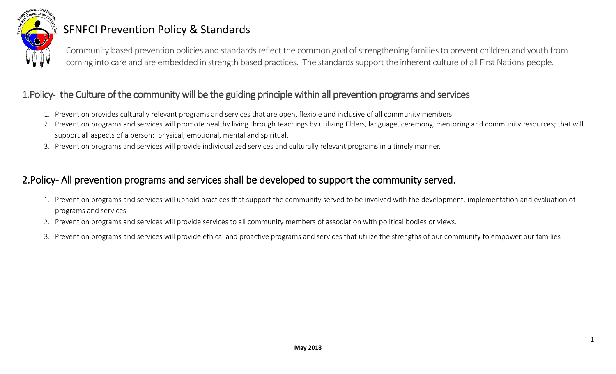

# SFNFCI Prevention Policy & Standards

Community based prevention policies and standards reflect the common goal of strengthening families to prevent children and youth from coming into care and are embedded in strength based practices. The standards support the inherent culture of all First Nations people.

### 1.Policy- the Culture of the community will be the guiding principle within all prevention programs and services

- 1. Prevention provides culturally relevant programs and services that are open, flexible and inclusive of all community members.
- 2. Prevention programs and services will promote healthy living through teachings by utilizing Elders, language, ceremony, mentoring and community resources; that will support all aspects of a person: physical, emotional, mental and spiritual.
- 3. Prevention programs and services will provide individualized services and culturally relevant programs in a timely manner.

## 2.Policy- All prevention programs and services shall be developed to support the community served.

- 1. Prevention programs and services will uphold practices that support the community served to be involved with the development, implementation and evaluation of programs and services
- 2. Prevention programs and services will provide services to all community members of association with political bodies or views.
- 3. Prevention programs and services will provide ethical and proactive programs and services that utilize the strengths of our community to empower our families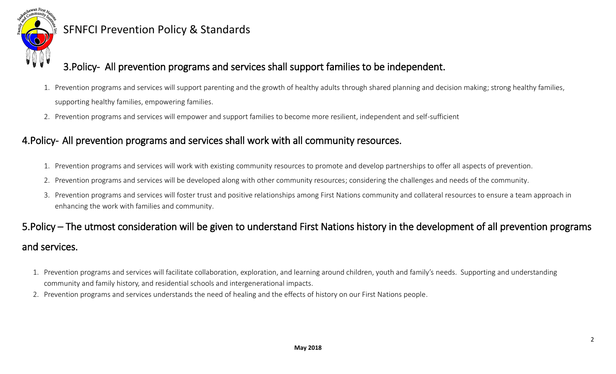

# SFNFCI Prevention Policy & Standards

## 3.Policy- All prevention programs and services shall support families to be independent.

- 1. Prevention programs and services will support parenting and the growth of healthy adults through shared planning and decision making; strong healthy families, supporting healthy families, empowering families.
- 2. Prevention programs and services will empower and support families to become more resilient, independent and self-sufficient

#### 4.Policy- All prevention programs and services shall work with all community resources.

- 1. Prevention programs and services will work with existing community resources to promote and develop partnerships to offer all aspects of prevention.
- 2. Prevention programs and services will be developed along with other community resources; considering the challenges and needs of the community.
- 3. Prevention programs and services will foster trust and positive relationships among First Nations community and collateral resources to ensure a team approach in enhancing the work with families and community.

# 5.Policy – The utmost consideration will be given to understand First Nations history in the development of all prevention programs and services.

- 1. Prevention programs and services will facilitate collaboration, exploration, and learning around children, youth and family's needs. Supporting and understanding community and family history, and residential schools and intergenerational impacts.
- 2. Prevention programs and services understands the need of healing and the effects of history on our First Nations people.